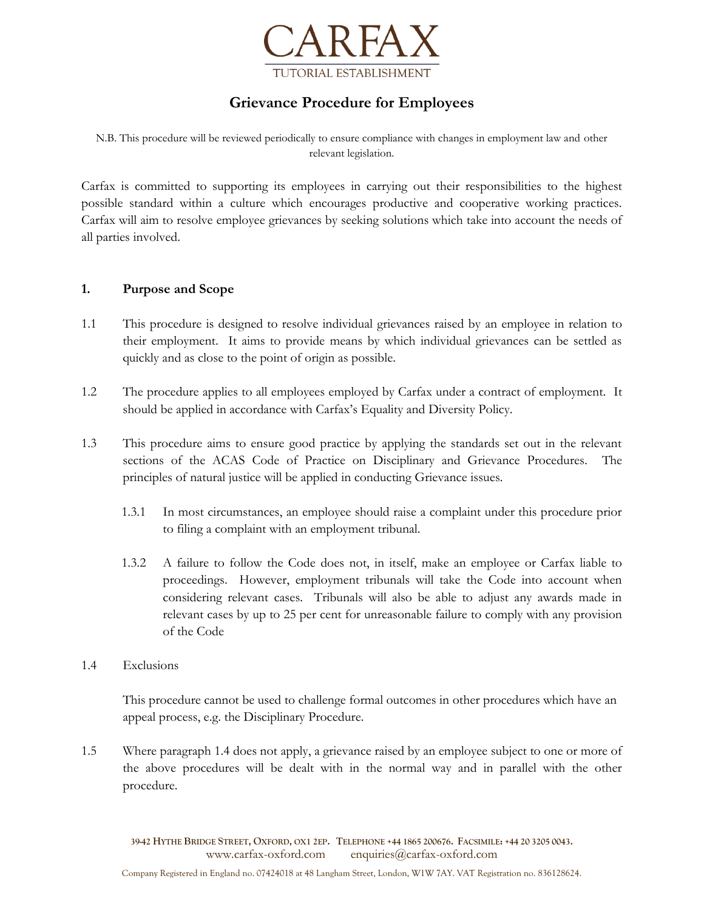

# **Grievance Procedure for Employees**

N.B. This procedure will be reviewed periodically to ensure compliance with changes in employment law and other relevant legislation.

Carfax is committed to supporting its employees in carrying out their responsibilities to the highest possible standard within a culture which encourages productive and cooperative working practices. Carfax will aim to resolve employee grievances by seeking solutions which take into account the needs of all parties involved.

# **1. Purpose and Scope**

- 1.1 This procedure is designed to resolve individual grievances raised by an employee in relation to their employment. It aims to provide means by which individual grievances can be settled as quickly and as close to the point of origin as possible.
- 1.2 The procedure applies to all employees employed by Carfax under a contract of employment. It should be applied in accordance with Carfax's Equality and Diversity Policy.
- 1.3 This procedure aims to ensure good practice by applying the standards set out in the relevant sections of the ACAS Code of Practice on Disciplinary and Grievance Procedures. The principles of natural justice will be applied in conducting Grievance issues.
	- 1.3.1 In most circumstances, an employee should raise a complaint under this procedure prior to filing a complaint with an employment tribunal.
	- 1.3.2 A failure to follow the Code does not, in itself, make an employee or Carfax liable to proceedings. However, employment tribunals will take the Code into account when considering relevant cases. Tribunals will also be able to adjust any awards made in relevant cases by up to 25 per cent for unreasonable failure to comply with any provision of the Code
- 1.4 Exclusions

This procedure cannot be used to challenge formal outcomes in other procedures which have an appeal process, e.g. the Disciplinary Procedure.

1.5 Where paragraph 1.4 does not apply, a grievance raised by an employee subject to one or more of the above procedures will be dealt with in the normal way and in parallel with the other procedure.

39-42 HYTHE BRIDGE STREET, OXFORD, OX1 2EP. TELEPHONE +44 1865 200676. FACSIMILE: +44 20 3205 0043. www.carfax-oxford.com enquiries@carfax-oxford.com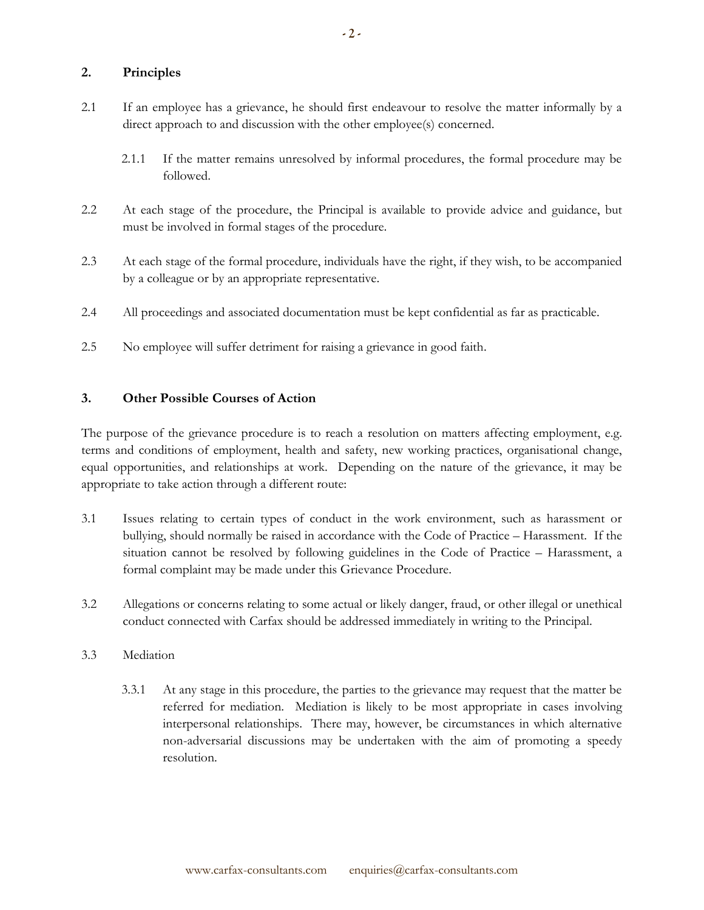# **2. Principles**

- 2.1 If an employee has a grievance, he should first endeavour to resolve the matter informally by a direct approach to and discussion with the other employee(s) concerned.
	- 2.1.1 If the matter remains unresolved by informal procedures, the formal procedure may be followed.
- 2.2 At each stage of the procedure, the Principal is available to provide advice and guidance, but must be involved in formal stages of the procedure.
- 2.3 At each stage of the formal procedure, individuals have the right, if they wish, to be accompanied by a colleague or by an appropriate representative.
- 2.4 All proceedings and associated documentation must be kept confidential as far as practicable.
- 2.5 No employee will suffer detriment for raising a grievance in good faith.

# **3. Other Possible Courses of Action**

The purpose of the grievance procedure is to reach a resolution on matters affecting employment, e.g. terms and conditions of employment, health and safety, new working practices, organisational change, equal opportunities, and relationships at work. Depending on the nature of the grievance, it may be appropriate to take action through a different route:

- 3.1 Issues relating to certain types of conduct in the work environment, such as harassment or bullying, should normally be raised in accordance with the Code of Practice – Harassment. If the situation cannot be resolved by following guidelines in the Code of Practice – Harassment, a formal complaint may be made under this Grievance Procedure.
- 3.2 Allegations or concerns relating to some actual or likely danger, fraud, or other illegal or unethical conduct connected with Carfax should be addressed immediately in writing to the Principal.
- 3.3 Mediation
	- 3.3.1 At any stage in this procedure, the parties to the grievance may request that the matter be referred for mediation. Mediation is likely to be most appropriate in cases involving interpersonal relationships. There may, however, be circumstances in which alternative non-adversarial discussions may be undertaken with the aim of promoting a speedy resolution.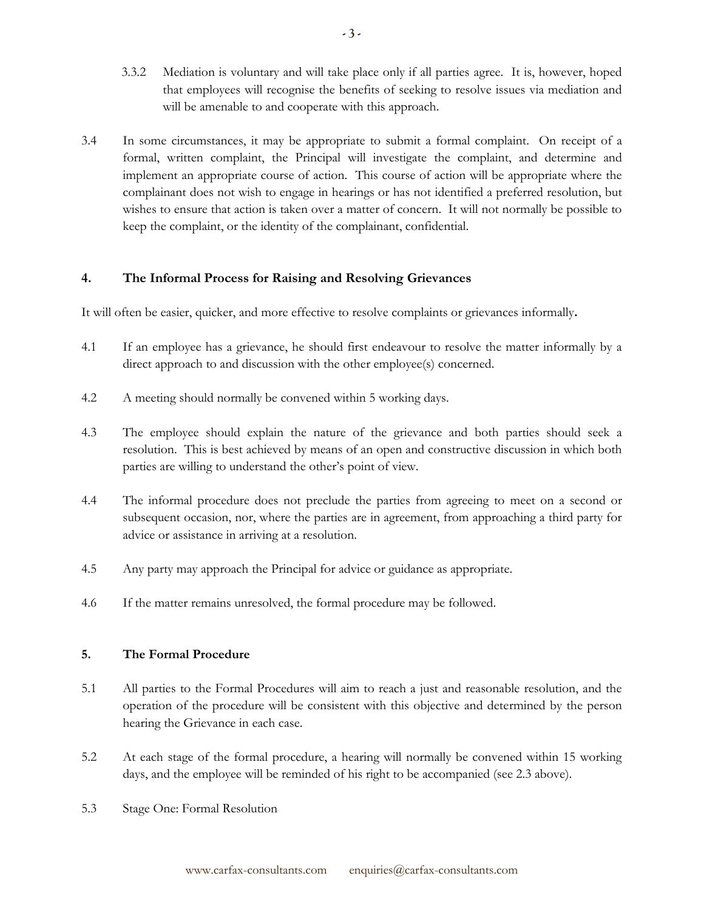- 3.3.2 Mediation is voluntary and will take place only if all parties agree. It is, however, hoped that employees will recognise the benefits of seeking to resolve issues via mediation and will be amenable to and cooperate with this approach.
- 3.4 In some circumstances, it may be appropriate to submit a formal complaint. On receipt of a formal, written complaint, the Principal will investigate the complaint, and determine and implement an appropriate course of action. This course of action will be appropriate where the complainant does not wish to engage in hearings or has not identified a preferred resolution, but wishes to ensure that action is taken over a matter of concern. It will not normally be possible to keep the complaint, or the identity of the complainant, confidential.

# **4. The Informal Process for Raising and Resolving Grievances**

It will often be easier, quicker, and more effective to resolve complaints or grievances informally**.**

- 4.1 If an employee has a grievance, he should first endeavour to resolve the matter informally by a direct approach to and discussion with the other employee(s) concerned.
- 4.2 A meeting should normally be convened within 5 working days.
- 4.3 The employee should explain the nature of the grievance and both parties should seek a resolution. This is best achieved by means of an open and constructive discussion in which both parties are willing to understand the other's point of view.
- 4.4 The informal procedure does not preclude the parties from agreeing to meet on a second or subsequent occasion, nor, where the parties are in agreement, from approaching a third party for advice or assistance in arriving at a resolution.
- 4.5 Any party may approach the Principal for advice or guidance as appropriate.
- 4.6 If the matter remains unresolved, the formal procedure may be followed.

### **5. The Formal Procedure**

- 5.1 All parties to the Formal Procedures will aim to reach a just and reasonable resolution, and the operation of the procedure will be consistent with this objective and determined by the person hearing the Grievance in each case.
- 5.2 At each stage of the formal procedure, a hearing will normally be convened within 15 working days, and the employee will be reminded of his right to be accompanied (see 2.3 above).
- 5.3 Stage One: Formal Resolution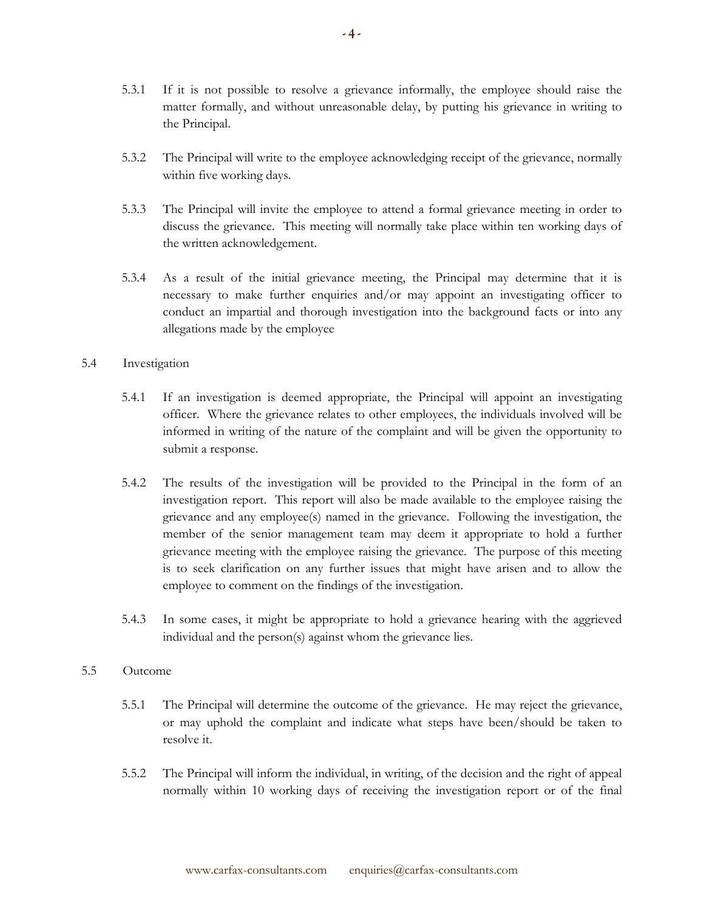- 5.3.1 If it is not possible to resolve a grievance informally, the employee should raise the matter formally, and without unreasonable delay, by putting his grievance in writing to the Principal.
- 5.3.2 The Principal will write to the employee acknowledging receipt of the grievance, normally within five working days.
- 5.3.3 The Principal will invite the employee to attend a formal grievance meeting in order to discuss the grievance. This meeting will normally take place within ten working days of the written acknowledgement.
- 5.3.4 As a result of the initial grievance meeting, the Principal may determine that it is necessary to make further enquiries and/or may appoint an investigating officer to conduct an impartial and thorough investigation into the background facts or into any allegations made by the employee

# 5.4 Investigation

- 5.4.1 If an investigation is deemed appropriate, the Principal will appoint an investigating officer. Where the grievance relates to other employees, the individuals involved will be informed in writing of the nature of the complaint and will be given the opportunity to submit a response.
- 5.4.2 The results of the investigation will be provided to the Principal in the form of an investigation report. This report will also be made available to the employee raising the grievance and any employee(s) named in the grievance. Following the investigation, the member of the senior management team may deem it appropriate to hold a further grievance meeting with the employee raising the grievance. The purpose of this meeting is to seek clarification on any further issues that might have arisen and to allow the employee to comment on the findings of the investigation.
- 5.4.3 In some cases, it might be appropriate to hold a grievance hearing with the aggrieved individual and the person(s) against whom the grievance lies.

### 5.5 Outcome

- 5.5.1 The Principal will determine the outcome of the grievance. He may reject the grievance, or may uphold the complaint and indicate what steps have been/should be taken to resolve it.
- 5.5.2 The Principal will inform the individual, in writing, of the decision and the right of appeal normally within 10 working days of receiving the investigation report or of the final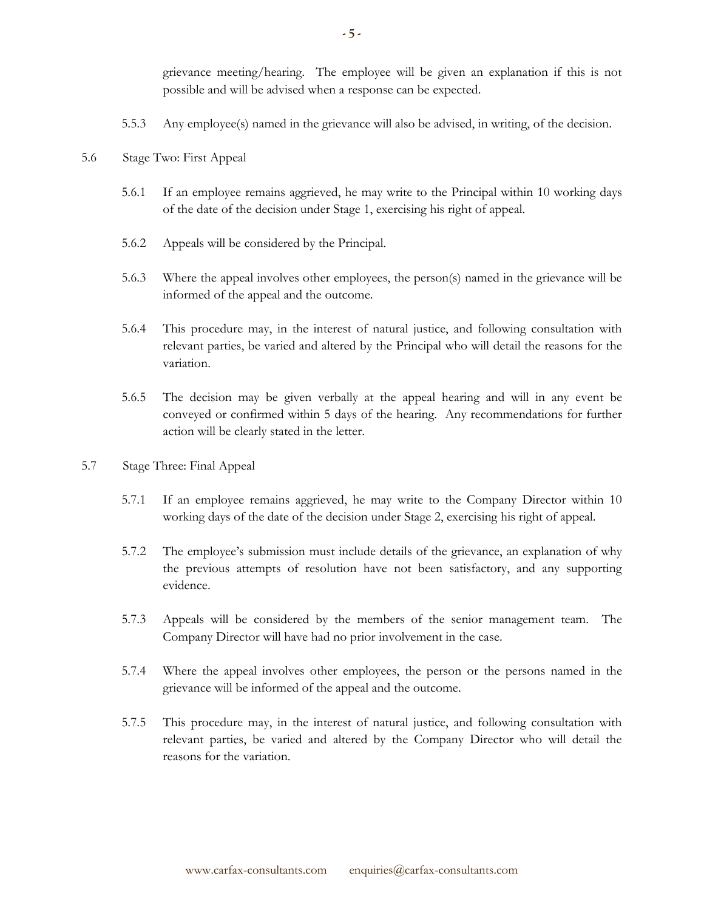grievance meeting/hearing. The employee will be given an explanation if this is not possible and will be advised when a response can be expected.

- 5.5.3 Any employee(s) named in the grievance will also be advised, in writing, of the decision.
- 5.6 Stage Two: First Appeal
	- 5.6.1 If an employee remains aggrieved, he may write to the Principal within 10 working days of the date of the decision under Stage 1, exercising his right of appeal.
	- 5.6.2 Appeals will be considered by the Principal.
	- 5.6.3 Where the appeal involves other employees, the person(s) named in the grievance will be informed of the appeal and the outcome.
	- 5.6.4 This procedure may, in the interest of natural justice, and following consultation with relevant parties, be varied and altered by the Principal who will detail the reasons for the variation.
	- 5.6.5 The decision may be given verbally at the appeal hearing and will in any event be conveyed or confirmed within 5 days of the hearing. Any recommendations for further action will be clearly stated in the letter.
- 5.7 Stage Three: Final Appeal
	- 5.7.1 If an employee remains aggrieved, he may write to the Company Director within 10 working days of the date of the decision under Stage 2, exercising his right of appeal.
	- 5.7.2 The employee's submission must include details of the grievance, an explanation of why the previous attempts of resolution have not been satisfactory, and any supporting evidence.
	- 5.7.3 Appeals will be considered by the members of the senior management team. The Company Director will have had no prior involvement in the case.
	- 5.7.4 Where the appeal involves other employees, the person or the persons named in the grievance will be informed of the appeal and the outcome.
	- 5.7.5 This procedure may, in the interest of natural justice, and following consultation with relevant parties, be varied and altered by the Company Director who will detail the reasons for the variation.